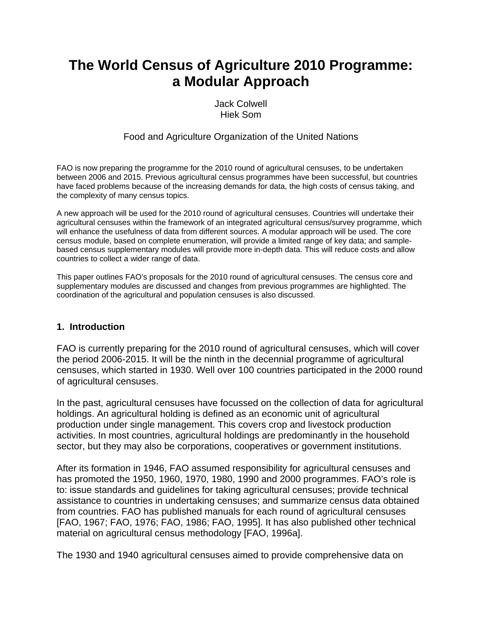# **The World Census of Agriculture 2010 Programme: a Modular Approach**

Jack Colwell Hiek Som

#### Food and Agriculture Organization of the United Nations

FAO is now preparing the programme for the 2010 round of agricultural censuses, to be undertaken between 2006 and 2015. Previous agricultural census programmes have been successful, but countries have faced problems because of the increasing demands for data, the high costs of census taking, and the complexity of many census topics.

A new approach will be used for the 2010 round of agricultural censuses. Countries will undertake their agricultural censuses within the framework of an integrated agricultural census/survey programme, which will enhance the usefulness of data from different sources. A modular approach will be used. The core census module, based on complete enumeration, will provide a limited range of key data; and samplebased census supplementary modules will provide more in-depth data. This will reduce costs and allow countries to collect a wider range of data.

This paper outlines FAO's proposals for the 2010 round of agricultural censuses. The census core and supplementary modules are discussed and changes from previous programmes are highlighted. The coordination of the agricultural and population censuses is also discussed.

#### **1. Introduction**

FAO is currently preparing for the 2010 round of agricultural censuses, which will cover the period 2006-2015. It will be the ninth in the decennial programme of agricultural censuses, which started in 1930. Well over 100 countries participated in the 2000 round of agricultural censuses.

In the past, agricultural censuses have focussed on the collection of data for agricultural holdings. An agricultural holding is defined as an economic unit of agricultural production under single management. This covers crop and livestock production activities. In most countries, agricultural holdings are predominantly in the household sector, but they may also be corporations, cooperatives or government institutions.

After its formation in 1946, FAO assumed responsibility for agricultural censuses and has promoted the 1950, 1960, 1970, 1980, 1990 and 2000 programmes. FAO's role is to: issue standards and guidelines for taking agricultural censuses; provide technical assistance to countries in undertaking censuses; and summarize census data obtained from countries. FAO has published manuals for each round of agricultural censuses [FAO, 1967; FAO, 1976; FAO, 1986; FAO, 1995]. It has also published other technical material on agricultural census methodology [FAO, 1996a].

The 1930 and 1940 agricultural censuses aimed to provide comprehensive data on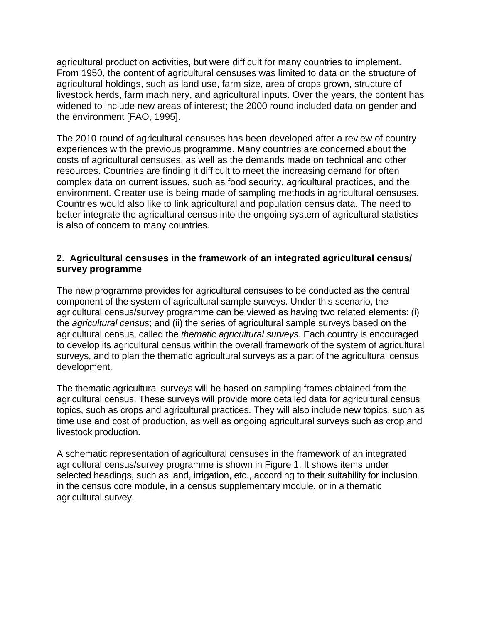agricultural production activities, but were difficult for many countries to implement. From 1950, the content of agricultural censuses was limited to data on the structure of agricultural holdings, such as land use, farm size, area of crops grown, structure of livestock herds, farm machinery, and agricultural inputs. Over the years, the content has widened to include new areas of interest; the 2000 round included data on gender and the environment [FAO, 1995].

The 2010 round of agricultural censuses has been developed after a review of country experiences with the previous programme. Many countries are concerned about the costs of agricultural censuses, as well as the demands made on technical and other resources. Countries are finding it difficult to meet the increasing demand for often complex data on current issues, such as food security, agricultural practices, and the environment. Greater use is being made of sampling methods in agricultural censuses. Countries would also like to link agricultural and population census data. The need to better integrate the agricultural census into the ongoing system of agricultural statistics is also of concern to many countries.

#### **2. Agricultural censuses in the framework of an integrated agricultural census/ survey programme**

The new programme provides for agricultural censuses to be conducted as the central component of the system of agricultural sample surveys. Under this scenario, the agricultural census/survey programme can be viewed as having two related elements: (i) the *agricultural census*; and (ii) the series of agricultural sample surveys based on the agricultural census, called the *thematic agricultural surveys*. Each country is encouraged to develop its agricultural census within the overall framework of the system of agricultural surveys, and to plan the thematic agricultural surveys as a part of the agricultural census development.

The thematic agricultural surveys will be based on sampling frames obtained from the agricultural census. These surveys will provide more detailed data for agricultural census topics, such as crops and agricultural practices. They will also include new topics, such as time use and cost of production, as well as ongoing agricultural surveys such as crop and livestock production.

A schematic representation of agricultural censuses in the framework of an integrated agricultural census/survey programme is shown in Figure 1. It shows items under selected headings, such as land, irrigation, etc., according to their suitability for inclusion in the census core module, in a census supplementary module, or in a thematic agricultural survey.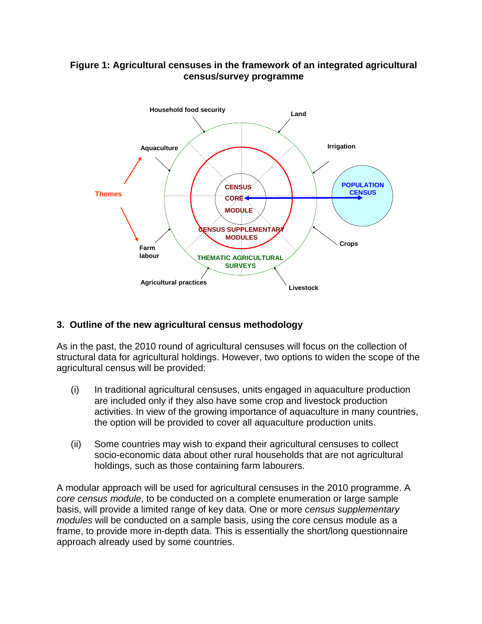### **Figure 1: Agricultural censuses in the framework of an integrated agricultural census/survey programme**



# **3. Outline of the new agricultural census methodology**

As in the past, the 2010 round of agricultural censuses will focus on the collection of structural data for agricultural holdings. However, two options to widen the scope of the agricultural census will be provided:

- (i) In traditional agricultural censuses, units engaged in aquaculture production are included only if they also have some crop and livestock production activities. In view of the growing importance of aquaculture in many countries, the option will be provided to cover all aquaculture production units.
- (ii) Some countries may wish to expand their agricultural censuses to collect socio-economic data about other rural households that are not agricultural holdings, such as those containing farm labourers.

A modular approach will be used for agricultural censuses in the 2010 programme. A *core census module*, to be conducted on a complete enumeration or large sample basis, will provide a limited range of key data. One or more *census supplementary modules* will be conducted on a sample basis, using the core census module as a frame, to provide more in-depth data. This is essentially the short/long questionnaire approach already used by some countries.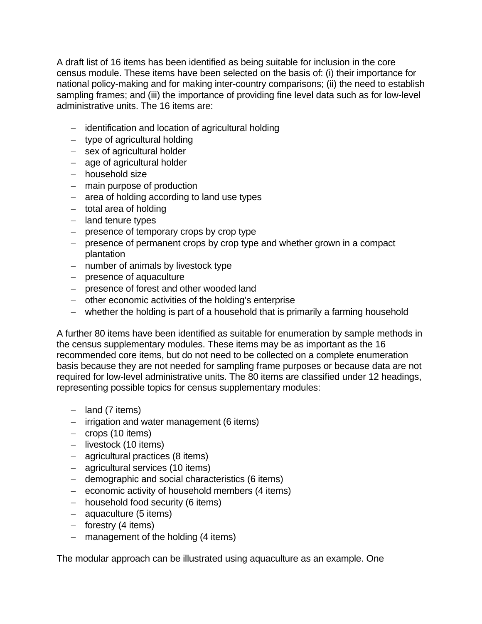A draft list of 16 items has been identified as being suitable for inclusion in the core census module. These items have been selected on the basis of: (i) their importance for national policy-making and for making inter-country comparisons; (ii) the need to establish sampling frames; and (iii) the importance of providing fine level data such as for low-level administrative units. The 16 items are:

- − identification and location of agricultural holding
- − type of agricultural holding
- − sex of agricultural holder
- − age of agricultural holder
- − household size
- − main purpose of production
- − area of holding according to land use types
- − total area of holding
- − land tenure types
- − presence of temporary crops by crop type
- − presence of permanent crops by crop type and whether grown in a compact plantation
- − number of animals by livestock type
- − presence of aquaculture
- − presence of forest and other wooded land
- − other economic activities of the holding's enterprise
- − whether the holding is part of a household that is primarily a farming household

A further 80 items have been identified as suitable for enumeration by sample methods in the census supplementary modules. These items may be as important as the 16 recommended core items, but do not need to be collected on a complete enumeration basis because they are not needed for sampling frame purposes or because data are not required for low-level administrative units. The 80 items are classified under 12 headings, representing possible topics for census supplementary modules:

- − land (7 items)
- − irrigation and water management (6 items)
- − crops (10 items)
- − livestock (10 items)
- − agricultural practices (8 items)
- − agricultural services (10 items)
- − demographic and social characteristics (6 items)
- − economic activity of household members (4 items)
- − household food security (6 items)
- − aquaculture (5 items)
- − forestry (4 items)
- − management of the holding (4 items)

The modular approach can be illustrated using aquaculture as an example. One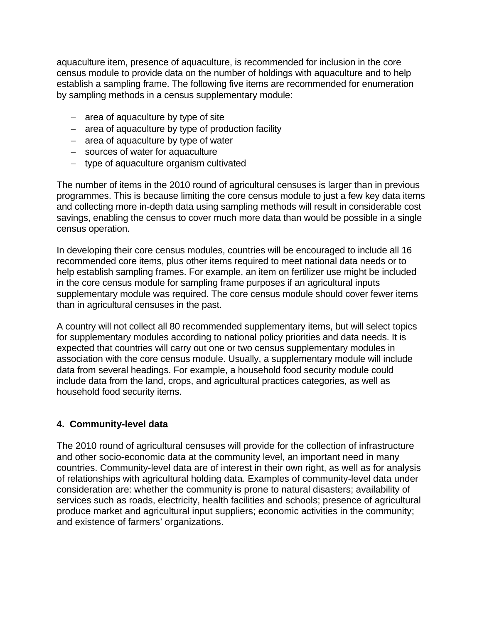aquaculture item, presence of aquaculture, is recommended for inclusion in the core census module to provide data on the number of holdings with aquaculture and to help establish a sampling frame. The following five items are recommended for enumeration by sampling methods in a census supplementary module:

- − area of aquaculture by type of site
- − area of aquaculture by type of production facility
- − area of aquaculture by type of water
- − sources of water for aquaculture
- − type of aquaculture organism cultivated

The number of items in the 2010 round of agricultural censuses is larger than in previous programmes. This is because limiting the core census module to just a few key data items and collecting more in-depth data using sampling methods will result in considerable cost savings, enabling the census to cover much more data than would be possible in a single census operation.

In developing their core census modules, countries will be encouraged to include all 16 recommended core items, plus other items required to meet national data needs or to help establish sampling frames. For example, an item on fertilizer use might be included in the core census module for sampling frame purposes if an agricultural inputs supplementary module was required. The core census module should cover fewer items than in agricultural censuses in the past.

A country will not collect all 80 recommended supplementary items, but will select topics for supplementary modules according to national policy priorities and data needs. It is expected that countries will carry out one or two census supplementary modules in association with the core census module. Usually, a supplementary module will include data from several headings. For example, a household food security module could include data from the land, crops, and agricultural practices categories, as well as household food security items.

# **4. Community-level data**

The 2010 round of agricultural censuses will provide for the collection of infrastructure and other socio-economic data at the community level, an important need in many countries. Community-level data are of interest in their own right, as well as for analysis of relationships with agricultural holding data. Examples of community-level data under consideration are: whether the community is prone to natural disasters; availability of services such as roads, electricity, health facilities and schools; presence of agricultural produce market and agricultural input suppliers; economic activities in the community; and existence of farmers' organizations.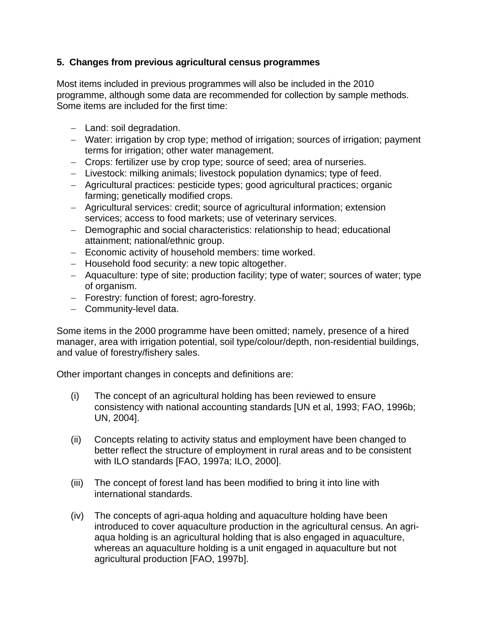# **5. Changes from previous agricultural census programmes**

Most items included in previous programmes will also be included in the 2010 programme, although some data are recommended for collection by sample methods. Some items are included for the first time:

- − Land: soil degradation.
- − Water: irrigation by crop type; method of irrigation; sources of irrigation; payment terms for irrigation; other water management.
- − Crops: fertilizer use by crop type; source of seed; area of nurseries.
- − Livestock: milking animals; livestock population dynamics; type of feed.
- − Agricultural practices: pesticide types; good agricultural practices; organic farming; genetically modified crops.
- − Agricultural services: credit; source of agricultural information; extension services; access to food markets; use of veterinary services.
- − Demographic and social characteristics: relationship to head; educational attainment; national/ethnic group.
- − Economic activity of household members: time worked.
- − Household food security: a new topic altogether.
- − Aquaculture: type of site; production facility; type of water; sources of water; type of organism.
- − Forestry: function of forest; agro-forestry.
- − Community-level data.

Some items in the 2000 programme have been omitted; namely, presence of a hired manager, area with irrigation potential, soil type/colour/depth, non-residential buildings, and value of forestry/fishery sales.

Other important changes in concepts and definitions are:

- (i) The concept of an agricultural holding has been reviewed to ensure consistency with national accounting standards [UN et al, 1993; FAO, 1996b; UN, 2004].
- (ii) Concepts relating to activity status and employment have been changed to better reflect the structure of employment in rural areas and to be consistent with ILO standards [FAO, 1997a; ILO, 2000].
- (iii) The concept of forest land has been modified to bring it into line with international standards.
- (iv) The concepts of agri-aqua holding and aquaculture holding have been introduced to cover aquaculture production in the agricultural census. An agriaqua holding is an agricultural holding that is also engaged in aquaculture, whereas an aquaculture holding is a unit engaged in aquaculture but not agricultural production [FAO, 1997b].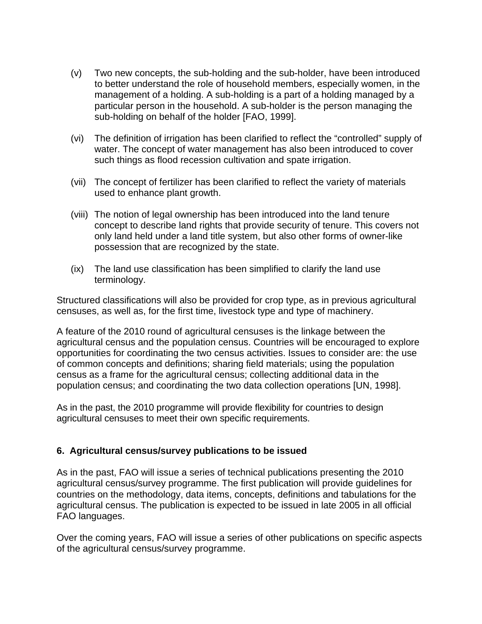- (v) Two new concepts, the sub-holding and the sub-holder, have been introduced to better understand the role of household members, especially women, in the management of a holding. A sub-holding is a part of a holding managed by a particular person in the household. A sub-holder is the person managing the sub-holding on behalf of the holder [FAO, 1999].
- (vi) The definition of irrigation has been clarified to reflect the "controlled" supply of water. The concept of water management has also been introduced to cover such things as flood recession cultivation and spate irrigation.
- (vii) The concept of fertilizer has been clarified to reflect the variety of materials used to enhance plant growth.
- (viii) The notion of legal ownership has been introduced into the land tenure concept to describe land rights that provide security of tenure. This covers not only land held under a land title system, but also other forms of owner-like possession that are recognized by the state.
- (ix) The land use classification has been simplified to clarify the land use terminology.

Structured classifications will also be provided for crop type, as in previous agricultural censuses, as well as, for the first time, livestock type and type of machinery.

A feature of the 2010 round of agricultural censuses is the linkage between the agricultural census and the population census. Countries will be encouraged to explore opportunities for coordinating the two census activities. Issues to consider are: the use of common concepts and definitions; sharing field materials; using the population census as a frame for the agricultural census; collecting additional data in the population census; and coordinating the two data collection operations [UN, 1998].

As in the past, the 2010 programme will provide flexibility for countries to design agricultural censuses to meet their own specific requirements.

# **6. Agricultural census/survey publications to be issued**

As in the past, FAO will issue a series of technical publications presenting the 2010 agricultural census/survey programme. The first publication will provide guidelines for countries on the methodology, data items, concepts, definitions and tabulations for the agricultural census. The publication is expected to be issued in late 2005 in all official FAO languages.

Over the coming years, FAO will issue a series of other publications on specific aspects of the agricultural census/survey programme.